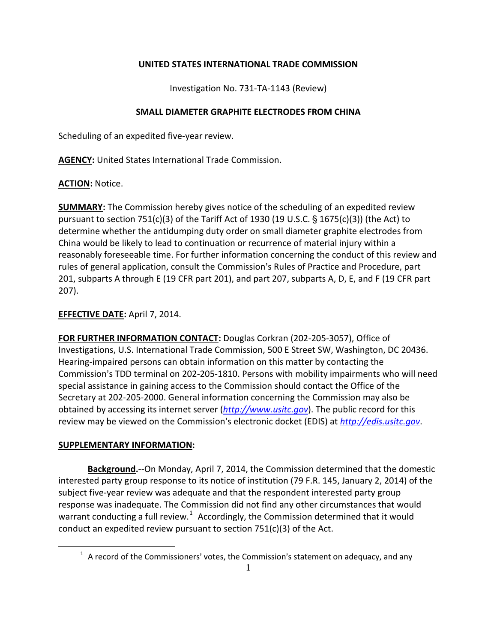## **UNITED STATES INTERNATIONAL TRADE COMMISSION**

Investigation No. 731-TA-1143 (Review)

## **SMALL DIAMETER GRAPHITE ELECTRODES FROM CHINA**

Scheduling of an expedited five-year review.

**AGENCY:** United States International Trade Commission.

**ACTION:** Notice.

**SUMMARY:** The Commission hereby gives notice of the scheduling of an expedited review pursuant to section 751(c)(3) of the Tariff Act of 1930 (19 U.S.C.  $\S$  1675(c)(3)) (the Act) to determine whether the antidumping duty order on small diameter graphite electrodes from China would be likely to lead to continuation or recurrence of material injury within a reasonably foreseeable time. For further information concerning the conduct of this review and rules of general application, consult the Commission's Rules of Practice and Procedure, part 201, subparts A through E (19 CFR part 201), and part 207, subparts A, D, E, and F (19 CFR part 207).

## **EFFECTIVE DATE:** April 7, 2014.

**FOR FURTHER INFORMATION CONTACT:** Douglas Corkran (202-205-3057), Office of Investigations, U.S. International Trade Commission, 500 E Street SW, Washington, DC 20436. Hearing-impaired persons can obtain information on this matter by contacting the Commission's TDD terminal on 202-205-1810. Persons with mobility impairments who will need special assistance in gaining access to the Commission should contact the Office of the Secretary at 202-205-2000. General information concerning the Commission may also be obtained by accessing its internet server (*[http://www.usitc.gov](http://www.usitc.gov/)*). The public record for this review may be viewed on the Commission's electronic docket (EDIS) at *[http://edis.usitc.gov](http://edis.usitc.gov/)*.

## **SUPPLEMENTARY INFORMATION:**

<span id="page-0-0"></span> $\overline{a}$ 

**Background.**--On Monday, April 7, 2014, the Commission determined that the domestic interested party group response to its notice of institution (79 F.R. 145, January 2, 2014) of the subject five-year review was adequate and that the respondent interested party group response was inadequate. The Commission did not find any other circumstances that would warrant conducting a full review.<sup>[1](#page-0-0)</sup> Accordingly, the Commission determined that it would conduct an expedited review pursuant to section 751(c)(3) of the Act.

 $1$  A record of the Commissioners' votes, the Commission's statement on adequacy, and any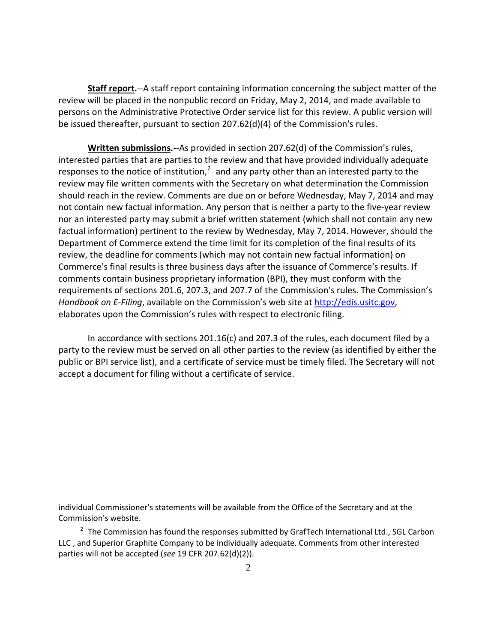**Staff report.**--A staff report containing information concerning the subject matter of the review will be placed in the nonpublic record on Friday, May 2, 2014, and made available to persons on the Administrative Protective Order service list for this review. A public version will be issued thereafter, pursuant to section  $207.62(d)(4)$  of the Commission's rules.

**Written submissions.**--As provided in section 207.62(d) of the Commission's rules, interested parties that are parties to the review and that have provided individually adequate responses to the notice of institution, $2$  and any party other than an interested party to the review may file written comments with the Secretary on what determination the Commission should reach in the review. Comments are due on or before Wednesday, May 7, 2014 and may not contain new factual information. Any person that is neither a party to the five-year review nor an interested party may submit a brief written statement (which shall not contain any new factual information) pertinent to the review by Wednesday, May 7, 2014. However, should the Department of Commerce extend the time limit for its completion of the final results of its review, the deadline for comments (which may not contain new factual information) on Commerce's final results is three business days after the issuance of Commerce's results. If comments contain business proprietary information (BPI), they must conform with the requirements of sections 201.6, 207.3, and 207.7 of the Commission's rules. The Commission's *Handbook on E-Filing*, available on the Commission's web site at [http://edis.usitc.gov,](http://edis.usitc.gov/) elaborates upon the Commission's rules with respect to electronic filing.

In accordance with sections 201.16(c) and 207.3 of the rules, each document filed by a party to the review must be served on all other parties to the review (as identified by either the public or BPI service list), and a certificate of service must be timely filed. The Secretary will not accept a document for filing without a certificate of service.

 $\overline{a}$ 

individual Commissioner's statements will be available from the Office of the Secretary and at the Commission's website.

<span id="page-1-0"></span> $2$  The Commission has found the responses submitted by GrafTech International Ltd., SGL Carbon LLC , and Superior Graphite Company to be individually adequate. Comments from other interested parties will not be accepted (*see* 19 CFR 207.62(d)(2)).